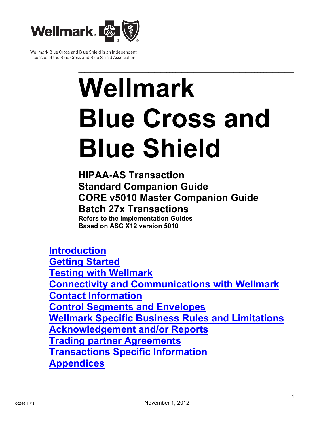

Wellmark Blue Cross and Blue Shield is an Independent Licensee of the Blue Cross and Blue Shield Association.

# \_\_\_\_\_\_\_\_\_\_\_\_\_\_\_\_\_\_\_\_\_\_\_\_\_\_\_\_\_\_\_\_\_\_\_\_\_\_\_\_\_\_\_\_\_\_\_\_\_\_\_\_\_\_\_\_\_\_\_\_\_\_\_\_\_\_\_\_\_\_\_ Wellmark Blue Cross and Blue Shield

HIPAA-AS Transaction Standard Companion Guide CORE v5010 Master Companion Guide Batch 27x Transactions Refers to the Implementation Guides Based on ASC X12 version 5010

Introduction **Getting Started** Testing with Wellmark Connectivity and Communications with Wellmark Contact Information Control Segments and Envelopes Wellmark Specific Business Rules and Limitations Acknowledgement and/or Reports Trading partner Agreements Transactions Specific Information **Appendices**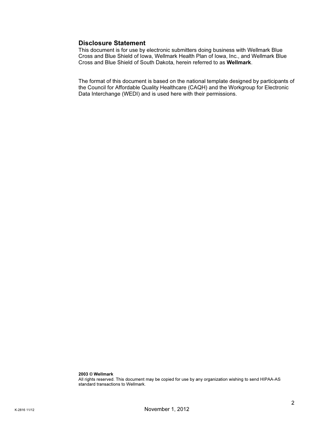## Disclosure Statement

This document is for use by electronic submitters doing business with Wellmark Blue Cross and Blue Shield of Iowa, Wellmark Health Plan of Iowa, Inc., and Wellmark Blue Cross and Blue Shield of South Dakota, herein referred to as Wellmark.

The format of this document is based on the national template designed by participants of the Council for Affordable Quality Healthcare (CAQH) and the Workgroup for Electronic Data Interchange (WEDI) and is used here with their permissions.

2003 © Wellmark All rights reserved. This document may be copied for use by any organization wishing to send HIPAA-AS standard transactions to Wellmark.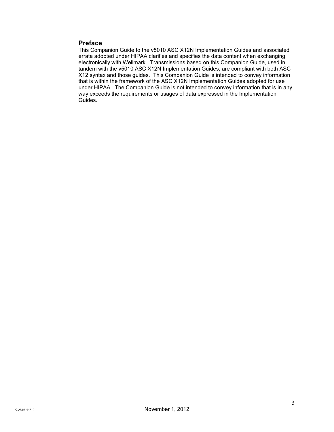## Preface

This Companion Guide to the v5010 ASC X12N Implementation Guides and associated errata adopted under HIPAA clarifies and specifies the data content when exchanging electronically with Wellmark. Transmissions based on this Companion Guide, used in tandem with the v5010 ASC X12N Implementation Guides, are compliant with both ASC X12 syntax and those guides. This Companion Guide is intended to convey information that is within the framework of the ASC X12N Implementation Guides adopted for use under HIPAA. The Companion Guide is not intended to convey information that is in any way exceeds the requirements or usages of data expressed in the Implementation Guides.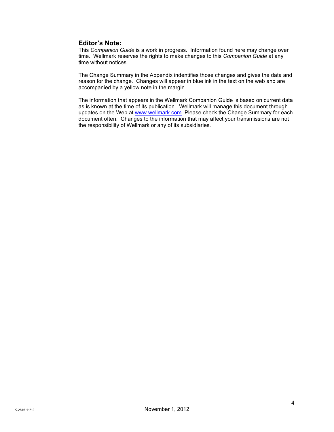## Editor's Note:

This Companion Guide is a work in progress. Information found here may change over time. Wellmark reserves the rights to make changes to this Companion Guide at any time without notices.

The Change Summary in the Appendix indentifies those changes and gives the data and reason for the change. Changes will appear in blue ink in the text on the web and are accompanied by a yellow note in the margin.

The information that appears in the Wellmark Companion Guide is based on current data as is known at the time of its publication. Wellmark will manage this document through updates on the Web at www.wellmark.com Please check the Change Summary for each document often. Changes to the information that may affect your transmissions are not the responsibility of Wellmark or any of its subsidiaries.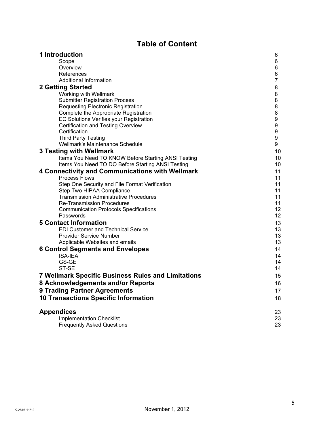# Table of Content

| 1 Introduction                                                                     | 6              |
|------------------------------------------------------------------------------------|----------------|
| Scope                                                                              | 6              |
| Overview                                                                           | 6              |
| References                                                                         | 6              |
| Additional Information                                                             | $\overline{7}$ |
| <b>2 Getting Started</b>                                                           | 8              |
| Working with Wellmark                                                              | 8              |
| <b>Submitter Registration Process</b>                                              | 8              |
| <b>Requesting Electronic Registration</b>                                          | 8              |
| Complete the Appropriate Registration                                              | 8              |
| <b>EC Solutions Verifies your Registration</b>                                     | 9              |
| <b>Certification and Testing Overview</b>                                          | 9              |
| Certification                                                                      | 9              |
| <b>Third Party Testing</b>                                                         | 9              |
| Wellmark's Maintenance Schedule                                                    | 9              |
| 3 Testing with Wellmark                                                            | 10             |
| Items You Need TO KNOW Before Starting ANSI Testing                                | 10             |
| Items You Need TO DO Before Starting ANSI Testing                                  | 10             |
| <b>4 Connectivity and Communications with Wellmark</b>                             | 11             |
| <b>Process Flows</b>                                                               | 11             |
| Step One Security and File Format Verification                                     | 11             |
| Step Two HIPAA Compliance                                                          | 11             |
| <b>Transmission Administrative Procedures</b>                                      | 11<br>11       |
| <b>Re-Transmission Procedures</b><br><b>Communication Protocols Specifications</b> | 12             |
| Passwords                                                                          | 12             |
| <b>5 Contact Information</b>                                                       |                |
|                                                                                    | 13             |
| <b>EDI Customer and Technical Service</b><br><b>Provider Service Number</b>        | 13<br>13       |
| Applicable Websites and emails                                                     | 13             |
| <b>6 Control Segments and Envelopes</b>                                            | 14             |
| ISA-IEA                                                                            | 14             |
| GS-GE                                                                              | 14             |
| ST-SE                                                                              | 14             |
| <b>7 Wellmark Specific Business Rules and Limitations</b>                          | 15             |
|                                                                                    |                |
| 8 Acknowledgements and/or Reports                                                  | 16             |
| <b>9 Trading Partner Agreements</b>                                                | 17             |
| <b>10 Transactions Specific Information</b>                                        | 18             |
| <b>Appendices</b>                                                                  | 23             |
| <b>Implementation Checklist</b>                                                    | 23             |
| <b>Frequently Asked Questions</b>                                                  | 23             |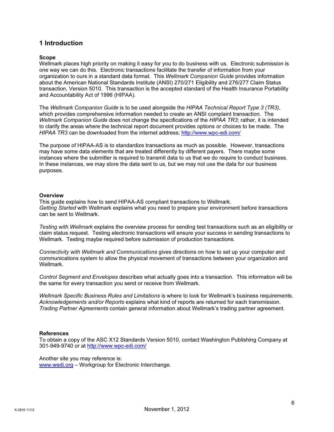## 1 Introduction

#### Scope

Wellmark places high priority on making it easy for you to do business with us. Electronic submission is one way we can do this. Electronic transactions facilitate the transfer of information from your organization to ours in a standard data format. This Wellmark Companion Guide provides information about the American National Standards Institute (ANSI) 270/271 Eligibility and 276/277 Claim Status transaction, Version 5010. This transaction is the accepted standard of the Health Insurance Portability and Accountability Act of 1996 (HIPAA).

The Wellmark Companion Guide is to be used alongside the HIPAA Technical Report Type 3 (TR3), which provides comprehensive information needed to create an ANSI complaint transaction. The Wellmark Companion Guide does not change the specifications of the HIPAA TR3; rather, it is intended to clarify the areas where the technical report document provides options or choices to be made. The HIPAA TR3 can be downloaded from the internet address; http://www.wpc-edi.com/

The purpose of HIPAA-AS is to standardize transactions as much as possible. However, transactions may have some data elements that are treated differently by different payers. There maybe some instances where the submitter is required to transmit data to us that we do require to conduct business. In these instances, we may store the data sent to us, but we may not use the data for our business purposes.

#### **Overview**

This guide explains how to send HIPAA-AS compliant transactions to Wellmark. Getting Started with Wellmark explains what you need to prepare your environment before transactions can be sent to Wellmark.

Testing with Wellmark explains the overview process for sending test transactions such as an eligibility or claim status request. Testing electronic transactions will ensure your success in sending transactions to Wellmark. Testing maybe required before submission of production transactions.

Connectivity with Wellmark and Communications gives directions on how to set up your computer and communications system to allow the physical movement of transactions between your organization and Wellmark.

Control Segment and Envelopes describes what actually goes into a transaction. This information will be the same for every transaction you send or receive from Wellmark.

Wellmark Specific Business Rules and Limitations is where to look for Wellmark's business requirements. Acknowledgements and/or Reports explains what kind of reports are returned for each transmission. Trading Partner Agreements contain general information about Wellmark's trading partner agreement.

#### References

To obtain a copy of the ASC X12 Standards Version 5010, contact Washington Publishing Company at 301-949-9740 or at http://www.wpc-edi.com/

Another site you may reference is: www.wedi.org – Workgroup for Electronic Interchange.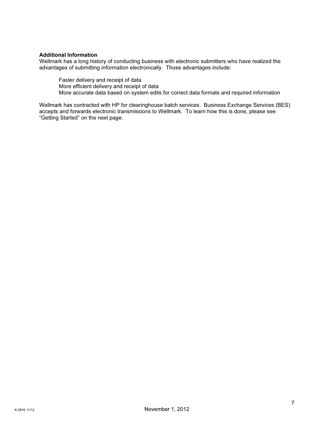#### Additional Information

Wellmark has a long history of conducting business with electronic submitters who have realized the advantages of submitting information electronically. Those advantages include:

Faster delivery and receipt of data

More efficient delivery and receipt of data

More accurate data based on system edits for correct data formats and required information

Wellmark has contracted with HP for clearinghouse batch services. Business Exchange Services (BES) accepts and forwards electronic transmissions to Wellmark. To learn how this is done, please see "Getting Started" on the next page.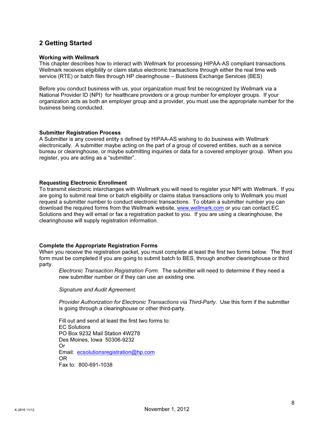# 2 Getting Started

#### Working with Wellmark

This chapter describes how to interact with Wellmark for processing HIPAA-AS compliant transactions. Wellmark receives eligibility or claim status electronic transactions through either the real time web service (RTE) or batch files through HP clearinghouse – Business Exchange Services (BES)

Before you conduct business with us, your organization must first be recognized by Wellmark via a National Provider ID (NPI) for healthcare providers or a group number for employer groups. If your organization acts as both an employer group and a provider, you must use the appropriate number for the business being conducted.

#### **Submitter Registration Process**

A Submitter is any covered entity s defined by HIPAA-AS wishing to do business with Wellmark electronically. A submitter maybe acting on the part of a group of covered entities, such as a service bureau or clearinghouse, or maybe submitting inquiries or data for a covered employer group. When you register, you are acting as a "submitter".

#### Requesting Electronic Enrollment

To transmit electronic interchanges with Wellmark you will need to register your NPI with Wellmark. If you are going to submit real time or batch eligibility or claims status transactions only to Wellmark you must request a submitter number to conduct electronic transactions. To obtain a submitter number you can download the required forms from the Wellmark website, www.wellmark.com or you can contact EC Solutions and they will email or fax a registration packet to you. If you are using a clearinghouse, the clearinghouse will supply registration information.

#### Complete the Appropriate Registration Forms

When you receive the registration packet, you must complete at least the first two forms below. The third form must be completed if you are going to submit batch to BES, through another clearinghouse or third party.

Electronic Transaction Registration Form. The submitter will need to determine if they need a new submitter number or if they can use an existing one.

Signature and Audit Agreement.

Provider Authorization for Electronic Transactions via Third-Party. Use this form if the submitter is going through a clearinghouse or other third-party.

Fill out and send at least the first two forms to: EC Solutions PO Box 9232 Mail Station 4W278 Des Moines, Iowa 50306-9232 Or Email: ecsolutionsregistration@hp.com OR Fax to: 800-691-1038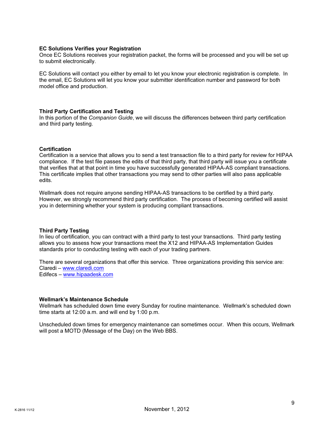#### EC Solutions Verifies your Registration

Once EC Solutions receives your registration packet, the forms will be processed and you will be set up to submit electronically.

EC Solutions will contact you either by email to let you know your electronic registration is complete. In the email, EC Solutions will let you know your submitter identification number and password for both model office and production.

#### Third Party Certification and Testing

In this portion of the Companion Guide, we will discuss the differences between third party certification and third party testing.

#### **Certification**

Certification is a service that allows you to send a test transaction file to a third party for review for HIPAA compliance. If the test file passes the edits of that third party, that third party will issue you a certificate that verifies that at that point in time you have successfully generated HIPAA-AS compliant transactions. This certificate implies that other transactions you may send to other parties will also pass applicable edits.

Wellmark does not require anyone sending HIPAA-AS transactions to be certified by a third party. However, we strongly recommend third party certification. The process of becoming certified will assist you in determining whether your system is producing compliant transactions.

#### Third Party Testing

In lieu of certification, you can contract with a third party to test your transactions. Third party testing allows you to assess how your transactions meet the X12 and HIPAA-AS Implementation Guides standards prior to conducting testing with each of your trading partners.

There are several organizations that offer this service. Three organizations providing this service are: Claredi – www.claredi.com Edifecs – www.hipaadesk.com

#### Wellmark's Maintenance Schedule

Wellmark has scheduled down time every Sunday for routine maintenance. Wellmark's scheduled down time starts at 12:00 a.m. and will end by 1:00 p.m.

Unscheduled down times for emergency maintenance can sometimes occur. When this occurs, Wellmark will post a MOTD (Message of the Day) on the Web BBS.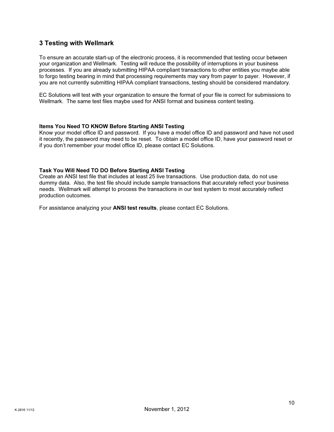# 3 Testing with Wellmark

To ensure an accurate start-up of the electronic process, it is recommended that testing occur between your organization and Wellmark. Testing will reduce the possibility of interruptions in your business processes. If you are already submitting HIPAA compliant transactions to other entities you maybe able to forgo testing bearing in mind that processing requirements may vary from payer to payer. However, if you are not currently submitting HIPAA compliant transactions, testing should be considered mandatory.

EC Solutions will test with your organization to ensure the format of your file is correct for submissions to Wellmark. The same test files maybe used for ANSI format and business content testing.

#### Items You Need TO KNOW Before Starting ANSI Testing

Know your model office ID and password. If you have a model office ID and password and have not used it recently, the password may need to be reset. To obtain a model office ID, have your password reset or if you don't remember your model office ID, please contact EC Solutions.

#### Task You Will Need TO DO Before Starting ANSI Testing

Create an ANSI test file that includes at least 25 live transactions. Use production data, do not use dummy data. Also, the test file should include sample transactions that accurately reflect your business needs. Wellmark will attempt to process the transactions in our test system to most accurately reflect production outcomes.

For assistance analyzing your ANSI test results, please contact EC Solutions.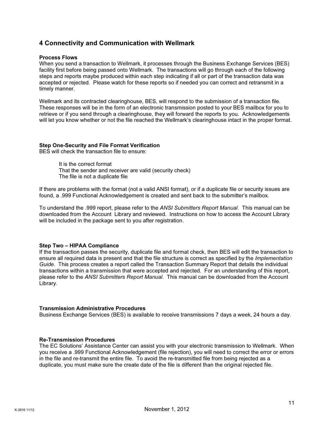## 4 Connectivity and Communication with Wellmark

#### Process Flows

When you send a transaction to Wellmark, it processes through the Business Exchange Services (BES) facility first before being passed onto Wellmark. The transactions will go through each of the following steps and reports maybe produced within each step indicating if all or part of the transaction data was accepted or rejected. Please watch for these reports so if needed you can correct and retransmit in a timely manner.

Wellmark and its contracted clearinghouse, BES, will respond to the submission of a transaction file. These responses will be in the form of an electronic transmission posted to your BES mailbox for you to retrieve or if you send through a clearinghouse, they will forward the reports to you. Acknowledgements will let you know whether or not the file reached the Wellmark's clearinghouse intact in the proper format.

#### Step One-Security and File Format Verification

BES will check the transaction file to ensure:

It is the correct format That the sender and receiver are valid (security check) The file is not a duplicate file

If there are problems with the format (not a valid ANSI format), or if a duplicate file or security issues are found, a .999 Functional Acknowledgement is created and sent back to the submitter's mailbox.

To understand the .999 report, please refer to the ANSI Submitters Report Manual. This manual can be downloaded from the Account Library and reviewed. Instructions on how to access the Account Library will be included in the package sent to you after registration.

#### Step Two – HIPAA Compliance

If the transaction passes the security, duplicate file and format check, then BES will edit the transaction to ensure all required data is present and that the file structure is correct as specified by the *Implementation* Guide. This process creates a report called the Transaction Summary Report that details the individual transactions within a transmission that were accepted and rejected. For an understanding of this report, please refer to the ANSI Submitters Report Manual. This manual can be downloaded from the Account Library.

#### Transmission Administrative Procedures

Business Exchange Services (BES) is available to receive transmissions 7 days a week, 24 hours a day.

#### Re-Transmission Procedures

The EC Solutions' Assistance Center can assist you with your electronic transmission to Wellmark. When you receive a .999 Functional Acknowledgement (file rejection), you will need to correct the error or errors in the file and re-transmit the entire file. To avoid the re-transmitted file from being rejected as a duplicate, you must make sure the create date of the file is different than the original rejected file.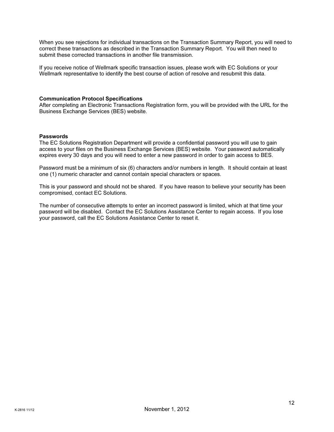When you see rejections for individual transactions on the Transaction Summary Report, you will need to correct these transactions as described in the Transaction Summary Report. You will then need to submit these corrected transactions in another file transmission.

If you receive notice of Wellmark specific transaction issues, please work with EC Solutions or your Wellmark representative to identify the best course of action of resolve and resubmit this data.

#### Communication Protocol Specifications

After completing an Electronic Transactions Registration form, you will be provided with the URL for the Business Exchange Services (BES) website.

#### Passwords

The EC Solutions Registration Department will provide a confidential password you will use to gain access to your files on the Business Exchange Services (BES) website. Your password automatically expires every 30 days and you will need to enter a new password in order to gain access to BES.

Password must be a minimum of six (6) characters and/or numbers in length. It should contain at least one (1) numeric character and cannot contain special characters or spaces.

This is your password and should not be shared. If you have reason to believe your security has been compromised, contact EC Solutions.

The number of consecutive attempts to enter an incorrect password is limited, which at that time your password will be disabled. Contact the EC Solutions Assistance Center to regain access. If you lose your password, call the EC Solutions Assistance Center to reset it.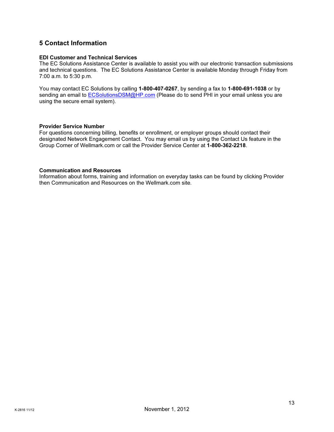# 5 Contact Information

#### EDI Customer and Technical Services

The EC Solutions Assistance Center is available to assist you with our electronic transaction submissions and technical questions. The EC Solutions Assistance Center is available Monday through Friday from 7:00 a.m. to 5:30 p.m.

You may contact EC Solutions by calling 1-800-407-0267, by sending a fax to 1-800-691-1038 or by sending an email to **ECSolutionsDSM@HP.com** (Please do to send PHI in your email unless you are using the secure email system).

#### Provider Service Number

For questions concerning billing, benefits or enrollment, or employer groups should contact their designated Network Engagement Contact. You may email us by using the Contact Us feature in the Group Corner of Wellmark.com or call the Provider Service Center at 1-800-362-2218.

#### Communication and Resources

Information about forms, training and information on everyday tasks can be found by clicking Provider then Communication and Resources on the Wellmark.com site.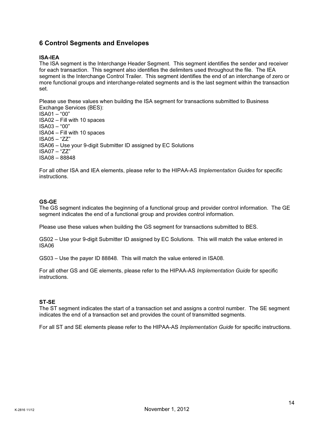# 6 Control Segments and Envelopes

### ISA-IEA

The ISA segment is the Interchange Header Segment. This segment identifies the sender and receiver for each transaction. This segment also identifies the delimiters used throughout the file. The IEA segment is the Interchange Control Trailer. This segment identifies the end of an interchange of zero or more functional groups and interchange-related segments and is the last segment within the transaction set.

Please use these values when building the ISA segment for transactions submitted to Business Exchange Services (BES): ISA01 – "00" ISA02 – Fill with 10 spaces ISA03 – "00" ISA04 – Fill with 10 spaces ISA05 – "ZZ" ISA06 – Use your 9-digit Submitter ID assigned by EC Solutions ISA07 – "ZZ" ISA08 – 88848

For all other ISA and IEA elements, please refer to the HIPAA-AS Implementation Guides for specific instructions.

#### GS-GE

The GS segment indicates the beginning of a functional group and provider control information. The GE segment indicates the end of a functional group and provides control information.

Please use these values when building the GS segment for transactions submitted to BES.

GS02 – Use your 9-digit Submitter ID assigned by EC Solutions. This will match the value entered in ISA06

GS03 – Use the payer ID 88848. This will match the value entered in ISA08.

For all other GS and GE elements, please refer to the HIPAA-AS Implementation Guide for specific instructions.

#### ST-SE

The ST segment indicates the start of a transaction set and assigns a control number. The SE segment indicates the end of a transaction set and provides the count of transmitted segments.

For all ST and SE elements please refer to the HIPAA-AS Implementation Guide for specific instructions.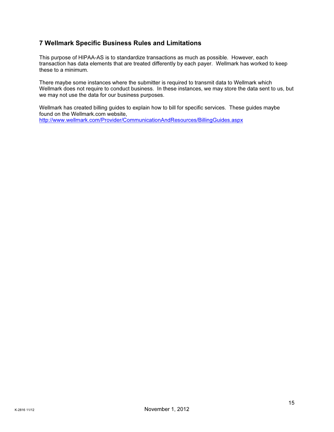# 7 Wellmark Specific Business Rules and Limitations

This purpose of HIPAA-AS is to standardize transactions as much as possible. However, each transaction has data elements that are treated differently by each payer. Wellmark has worked to keep these to a minimum.

There maybe some instances where the submitter is required to transmit data to Wellmark which Wellmark does not require to conduct business. In these instances, we may store the data sent to us, but we may not use the data for our business purposes.

Wellmark has created billing guides to explain how to bill for specific services. These guides maybe found on the Wellmark.com website, http://www.wellmark.com/Provider/CommunicationAndResources/BillingGuides.aspx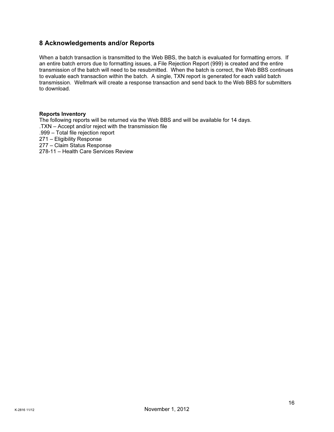# 8 Acknowledgements and/or Reports

When a batch transaction is transmitted to the Web BBS, the batch is evaluated for formatting errors. If an entire batch errors due to formatting issues, a File Rejection Report (999) is created and the entire transmission of the batch will need to be resubmitted. When the batch is correct, the Web BBS continues to evaluate each transaction within the batch. A single, TXN report is generated for each valid batch transmission. Wellmark will create a response transaction and send back to the Web BBS for submitters to download.

#### Reports Inventory

The following reports will be returned via the Web BBS and will be available for 14 days. .TXN – Accept and/or reject with the transmission file .999 – Total file rejection report 271 – Eligibility Response 277 – Claim Status Response 278-11 – Health Care Services Review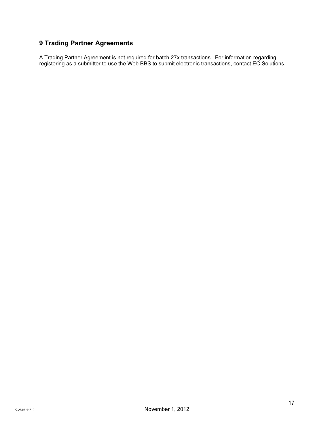# 9 Trading Partner Agreements

A Trading Partner Agreement is not required for batch 27x transactions. For information regarding registering as a submitter to use the Web BBS to submit electronic transactions, contact EC Solutions.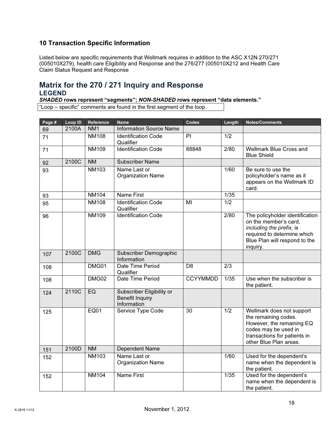# 10 Transaction Specific Information

Listed below are specific requirements that Wellmark requires in addition to the ASC X12N 270/271 (005010X279), health care Eligibility and Response and the 276/277 (005010X212 and Health Care Claim Status Request and Response

# Matrix for the 270 / 271 Inquiry and Response LEGEND

SHADED rows represent "segments"; NON-SHADED rows represent "data elements."

"Loop – specific" comments are found in the first segment of the loop.

| Page # | Loop ID | Reference       | <b>Name</b>                                                        | Codes           | Length           | <b>Notes/Comments</b>                                                                                                                                            |
|--------|---------|-----------------|--------------------------------------------------------------------|-----------------|------------------|------------------------------------------------------------------------------------------------------------------------------------------------------------------|
| 69     | 2100A   | NM <sub>1</sub> | <b>Information Source Name</b>                                     |                 |                  |                                                                                                                                                                  |
| 71     |         | <b>NM108</b>    | <b>Identification Code</b><br>Qualifier                            | PI              | 1/2              |                                                                                                                                                                  |
| 71     |         | <b>NM109</b>    | <b>Identification Code</b>                                         | 88848           | 2/80             | <b>Wellmark Blue Cross and</b><br><b>Blue Shield</b>                                                                                                             |
| 92     | 2100C   | <b>NM</b>       | <b>Subscriber Name</b>                                             |                 |                  |                                                                                                                                                                  |
| 93     |         | <b>NM103</b>    | Name Last or<br><b>Organization Name</b>                           |                 | 1/60             | Be sure to use the<br>policyholder's name as it<br>appears on the Wellmark ID<br>card.                                                                           |
| 93     |         | <b>NM104</b>    | <b>Name First</b>                                                  |                 | 1/35             |                                                                                                                                                                  |
| 95     |         | <b>NM108</b>    | <b>Identification Code</b><br>Qualifier                            | $\overline{M}$  | 1/2              |                                                                                                                                                                  |
| 96     |         | <b>NM109</b>    | <b>Identification Code</b>                                         |                 | 2/80             | The policyholder identification<br>on the member's card,<br>including the prefix, is<br>required to determine which<br>Blue Plan will respond to the<br>inquiry. |
| 107    | 2100C   | <b>DMG</b>      | Subscriber Demographic<br>Information                              |                 |                  |                                                                                                                                                                  |
| 108    |         | DMG01           | Date Time Period<br>Qualifier                                      | D <sub>8</sub>  | 2/3              |                                                                                                                                                                  |
| 108    |         | DMG02           | Date Time Period                                                   | <b>CCYYMMDD</b> | 1/35             | Use when the subscriber is<br>the patient.                                                                                                                       |
| 124    | 2110C   | EQ              | Subscriber Eligibility or<br><b>Benefit Inquiry</b><br>Information |                 |                  |                                                                                                                                                                  |
| 125    |         | <b>EQ01</b>     | Service Type Code                                                  | $\overline{30}$ | $\overline{1/2}$ | Wellmark does not support<br>the remaining codes.<br>However, the remaining EQ<br>codes may be used in<br>transactions for patients in<br>other Blue Plan areas. |
| 151    | 2100D   | <b>NM</b>       | Dependent Name                                                     |                 |                  |                                                                                                                                                                  |
| 152    |         | <b>NM103</b>    | Name Last or<br><b>Organization Name</b>                           |                 | 1/60             | Used for the dependent's<br>name when the dependent is<br>the patient.                                                                                           |
| 152    |         | <b>NM104</b>    | <b>Name First</b>                                                  |                 | $\frac{1}{35}$   | Used for the dependent's<br>name when the dependent is<br>the patient.                                                                                           |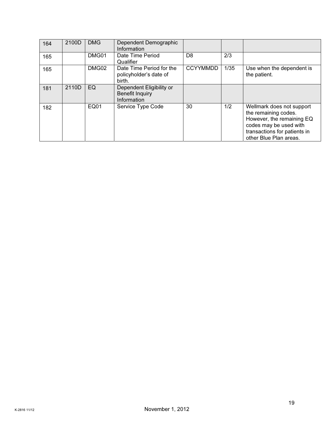| 164 | 2100D | <b>DMG</b>  | Dependent Demographic<br>Information                              |                 |      |                                                                                                                                                                    |
|-----|-------|-------------|-------------------------------------------------------------------|-----------------|------|--------------------------------------------------------------------------------------------------------------------------------------------------------------------|
| 165 |       | DMG01       | Date Time Period<br>Qualifier                                     | D <sub>8</sub>  | 2/3  |                                                                                                                                                                    |
| 165 |       | DMG02       | Date Time Period for the<br>policyholder's date of<br>birth.      | <b>CCYYMMDD</b> | 1/35 | Use when the dependent is<br>the patient.                                                                                                                          |
| 181 | 2110D | EQ          | Dependent Eligibility or<br><b>Benefit Inquiry</b><br>Information |                 |      |                                                                                                                                                                    |
| 182 |       | <b>EQ01</b> | Service Type Code                                                 | 30              | 1/2  | Wellmark does not support<br>the remaining codes.<br>However, the remaining EQ<br>codes may be used with<br>transactions for patients in<br>other Blue Plan areas. |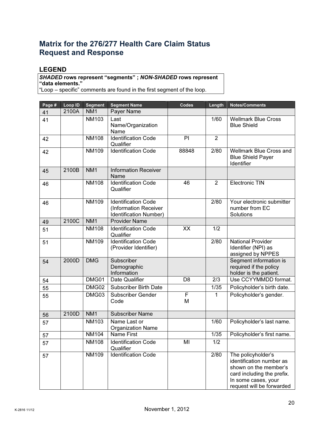# Matrix for the 276/277 Health Care Claim Status Request and Response

# LEGEND

## SHADED rows represent "segments" ; NON-SHADED rows represent "data elements."

"Loop – specific" comments are found in the first segment of the loop.

| Page # | Loop ID | <b>Segment</b>  | <b>Segment Name</b>                                                           | Codes          | Length         | <b>Notes/Comments</b>                                                                                                                                     |
|--------|---------|-----------------|-------------------------------------------------------------------------------|----------------|----------------|-----------------------------------------------------------------------------------------------------------------------------------------------------------|
| 41     | 2100A   | NM <sub>1</sub> | Payer Name                                                                    |                |                |                                                                                                                                                           |
| 41     |         | <b>NM103</b>    | Last<br>Name/Organization<br>Name                                             |                | $\frac{1}{60}$ | <b>Wellmark Blue Cross</b><br><b>Blue Shield</b>                                                                                                          |
| 42     |         | <b>NM108</b>    | <b>Identification Code</b><br>Qualifier                                       | PI             | 2              |                                                                                                                                                           |
| 42     |         | <b>NM109</b>    | <b>Identification Code</b>                                                    | 88848          | 2/80           | Wellmark Blue Cross and<br><b>Blue Shield Payer</b><br>Identifier                                                                                         |
| 45     | 2100B   | NM <sub>1</sub> | <b>Information Receiver</b><br>Name                                           |                |                |                                                                                                                                                           |
| 46     |         | <b>NM108</b>    | <b>Identification Code</b><br>Qualifier                                       | 46             | $\overline{2}$ | <b>Electronic TIN</b>                                                                                                                                     |
| 46     |         | <b>NM109</b>    | <b>Identification Code</b><br>(Information Receiver<br>Identification Number) |                | 2/80           | Your electronic submitter<br>number from EC<br>Solutions                                                                                                  |
| 49     | 2100C   | NM1             | <b>Provider Name</b>                                                          |                |                |                                                                                                                                                           |
| 51     |         | <b>NM108</b>    | <b>Identification Code</b><br>Qualifier                                       | XX             | 1/2            |                                                                                                                                                           |
| 51     |         | <b>NM109</b>    | <b>Identification Code</b><br>(Provider Identifier)                           |                | 2/80           | <b>National Provider</b><br>Identifier (NPI) as<br>assigned by NPPES                                                                                      |
| 54     | 2000D   | <b>DMG</b>      | Subscriber<br>Demographic<br>Information                                      |                |                | Segment information is<br>required if the policy<br>holder is the patient.                                                                                |
| 54     |         | DMG01           | Date Qualifier                                                                | D <sub>8</sub> | 2/3            | Use CCYYMMDD format.                                                                                                                                      |
| 55     |         | DMG02           | <b>Subscriber Birth Date</b>                                                  |                | 1/35           | Policyholder's birth date.                                                                                                                                |
| 55     |         | DMG03           | Subscriber Gender<br>Code                                                     | F<br>M         | 1              | Policyholder's gender.                                                                                                                                    |
| 56     | 2100D   | NM <sub>1</sub> | <b>Subscriber Name</b>                                                        |                |                |                                                                                                                                                           |
| 57     |         | <b>NM103</b>    | Name Last or<br><b>Organization Name</b>                                      |                | 1/60           | Policyholder's last name.                                                                                                                                 |
| 57     |         | <b>NM104</b>    | <b>Name First</b>                                                             |                | 1/35           | Policyholder's first name.                                                                                                                                |
| 57     |         | <b>NM108</b>    | <b>Identification Code</b><br>Qualifier                                       | MI             | 1/2            |                                                                                                                                                           |
| 57     |         | <b>NM109</b>    | <b>Identification Code</b>                                                    |                | 2/80           | The policyholder's<br>identification number as<br>shown on the member's<br>card including the prefix.<br>In some cases, your<br>request will be forwarded |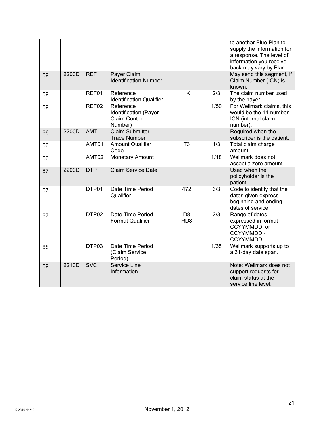|    |       |                   |                                                                       |                                    |                  | to another Blue Plan to<br>supply the information for<br>a response. The level of<br>information you receive<br>back may vary by Plan. |
|----|-------|-------------------|-----------------------------------------------------------------------|------------------------------------|------------------|----------------------------------------------------------------------------------------------------------------------------------------|
| 59 | 2200D | <b>REF</b>        | Payer Claim<br><b>Identification Number</b>                           |                                    |                  | May send this segment, if<br>Claim Number (ICN) is<br>known.                                                                           |
| 59 |       | REF01             | Reference<br><b>Identification Qualifier</b>                          | $\overline{1K}$                    | 2/3              | The claim number used<br>by the payer.                                                                                                 |
| 59 |       | REF02             | Reference<br>Identification (Payer<br><b>Claim Control</b><br>Number) |                                    | 1/50             | For Wellmark claims, this<br>would be the 14 number<br>ICN (internal claim<br>number).                                                 |
| 66 | 2200D | <b>AMT</b>        | <b>Claim Submitter</b><br><b>Trace Number</b>                         |                                    |                  | Required when the<br>subscriber is the patient.                                                                                        |
| 66 |       | AMT01             | <b>Amount Qualifier</b><br>Code                                       | T <sub>3</sub>                     | $\overline{1/3}$ | Total claim charge<br>amount.                                                                                                          |
| 66 |       | AMT02             | <b>Monetary Amount</b>                                                |                                    | 1/18             | Wellmark does not<br>accept a zero amount.                                                                                             |
| 67 | 2200D | <b>DTP</b>        | <b>Claim Service Date</b>                                             |                                    |                  | Used when the<br>policyholder is the<br>patient.                                                                                       |
| 67 |       | DTP01             | Date Time Period<br>Qualifier                                         | 472                                | $\overline{3/3}$ | Code to identify that the<br>dates given express<br>beginning and ending<br>dates of service                                           |
| 67 |       | DTP <sub>02</sub> | Date Time Period<br><b>Format Qualifier</b>                           | $\overline{DB}$<br>RD <sub>8</sub> | $\overline{2/3}$ | Range of dates<br>expressed in format<br>CCYYMMDD or<br>CCYYMMDD -<br>CCYYMMDD.                                                        |
| 68 |       | DTP03             | Date Time Period<br>(Claim Service<br>Period)                         |                                    | 1/35             | Wellmark supports up to<br>a 31-day date span.                                                                                         |
| 69 | 2210D | <b>SVC</b>        | <b>Service Line</b><br>Information                                    |                                    |                  | Note: Wellmark does not<br>support requests for<br>claim status at the<br>service line level.                                          |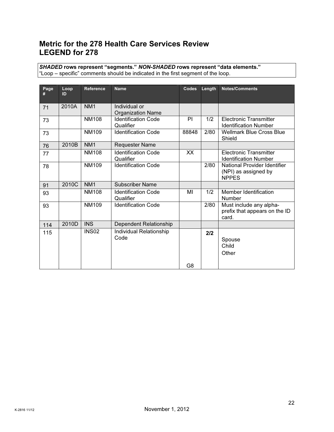# Metric for the 278 Health Care Services Review LEGEND for 278

SHADED rows represent "segments." NON-SHADED rows represent "data elements." "Loop – specific" comments should be indicated in the first segment of the loop.

| Page<br># | Loop<br>ID | <b>Reference</b> | <b>Name</b>                               | Codes          | Length | <b>Notes/Comments</b>                                                |
|-----------|------------|------------------|-------------------------------------------|----------------|--------|----------------------------------------------------------------------|
| 71        | 2010A      | NM <sub>1</sub>  | Individual or<br><b>Organization Name</b> |                |        |                                                                      |
| 73        |            | <b>NM108</b>     | <b>Identification Code</b><br>Qualifier   | PI             | 1/2    | Electronic Transmitter<br><b>Identification Number</b>               |
| 73        |            | NM109            | <b>Identification Code</b>                | 88848          | 2/80   | <b>Wellmark Blue Cross Blue</b><br>Shield                            |
| 76        | 2010B      | NM <sub>1</sub>  | <b>Requester Name</b>                     |                |        |                                                                      |
| 77        |            | <b>NM108</b>     | <b>Identification Code</b><br>Qualifier   | XX             |        | <b>Electronic Transmitter</b><br><b>Identification Number</b>        |
| 78        |            | <b>NM109</b>     | <b>Identification Code</b>                |                | 2/80   | National Provider Identifier<br>(NPI) as assigned by<br><b>NPPES</b> |
| 91        | 2010C      | NM <sub>1</sub>  | <b>Subscriber Name</b>                    |                |        |                                                                      |
| 93        |            | <b>NM108</b>     | <b>Identification Code</b><br>Qualifier   | MI             | 1/2    | Member Identification<br><b>Number</b>                               |
| 93        |            | <b>NM109</b>     | <b>Identification Code</b>                |                | 2/80   | Must include any alpha-<br>prefix that appears on the ID<br>card.    |
| 114       | 2010D      | <b>INS</b>       | Dependent Relationship                    |                |        |                                                                      |
| 115       |            | <b>INS02</b>     | Individual Relationship<br>Code           |                | 2/2    | Spouse<br>Child<br>Other                                             |
|           |            |                  |                                           | G <sub>8</sub> |        |                                                                      |